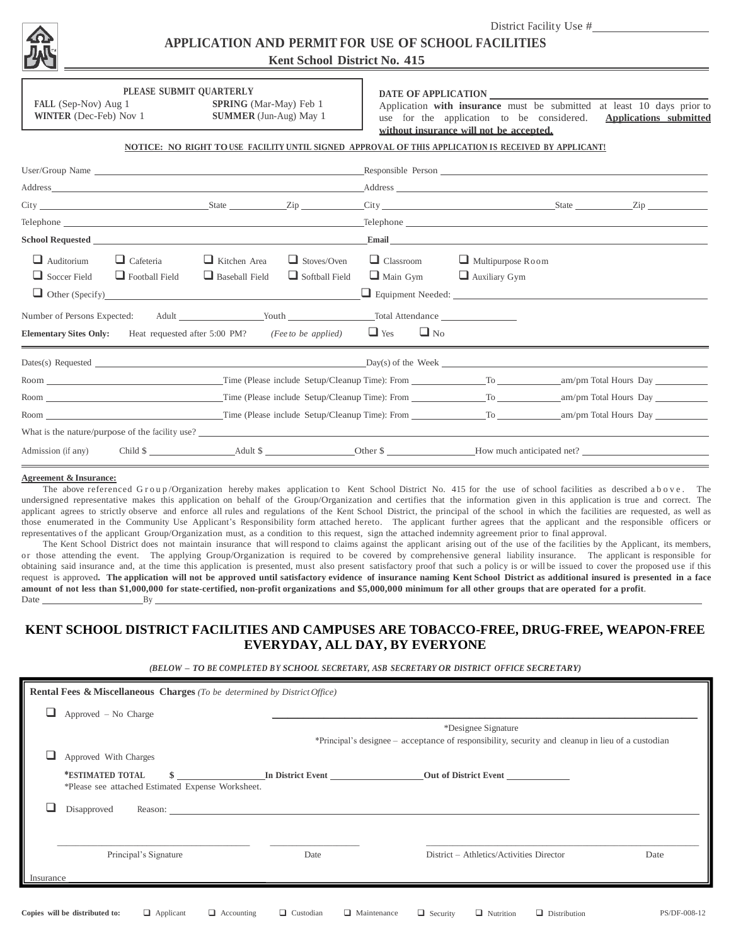

District Facility Use # **APPLICATION AND PERMIT FOR USE OF SCHOOL FACILITIES** 

# **Kent School District No. 415**

FALL (Sep-Nov) Aug 1 **SPRING** (Mar-May) Feb 1 **WINTER** (Dec-Feb) Nov 1 **SUMMER** (Jun-Aug) May 1

**PLEASE SUBMIT QUARTERLY**

### **DATE OF APPLICATION**

Application **with insurance** must be submitted at least 10 days prior to use for the application to be considered. **Applications submitted without insurance will not be accepted.**

## **NOTICE: NO RIGHT TO USE FACILITY UNTIL SIGNED APPROVAL OF THIS APPLICATION IS RECEIVED BY APPLICANT!**

|                                                                                                                                                                                                                                |                                           |                                                                                           |                                             | Responsible Person Contract to the Contract of the Contract of the Contract of the Contract of the Contract of the Contract of the Contract of the Contract of the Contract of the Contract of the Contract of the Contract of |                                                                                                                                                                                                                                      |  |                |
|--------------------------------------------------------------------------------------------------------------------------------------------------------------------------------------------------------------------------------|-------------------------------------------|-------------------------------------------------------------------------------------------|---------------------------------------------|--------------------------------------------------------------------------------------------------------------------------------------------------------------------------------------------------------------------------------|--------------------------------------------------------------------------------------------------------------------------------------------------------------------------------------------------------------------------------------|--|----------------|
|                                                                                                                                                                                                                                |                                           |                                                                                           |                                             |                                                                                                                                                                                                                                |                                                                                                                                                                                                                                      |  |                |
|                                                                                                                                                                                                                                |                                           |                                                                                           |                                             |                                                                                                                                                                                                                                |                                                                                                                                                                                                                                      |  | $\mathsf{Zip}$ |
|                                                                                                                                                                                                                                |                                           |                                                                                           |                                             |                                                                                                                                                                                                                                | Telephone <u>and</u> the contract of the contract of the contract of the contract of the contract of the contract of the contract of the contract of the contract of the contract of the contract of the contract of the contract o  |  |                |
| School Requested <u>Executive School Requested</u>                                                                                                                                                                             |                                           |                                                                                           |                                             |                                                                                                                                                                                                                                | Email <u>contract the contract of the contract of the contract of the contract of the contract of the contract of the contract of the contract of the contract of the contract of the contract of the contract of the contract o</u> |  |                |
| $\Box$ Auditorium<br>$\Box$ Soccer Field                                                                                                                                                                                       | $\Box$ Cafeteria<br>$\Box$ Football Field | $\Box$ Kitchen Area<br>$\Box$ Baseball Field<br>Other (Specify)<br><u>Other (Specify)</u> | $\Box$ Stoves/Oven<br>$\Box$ Softball Field | $\Box$ Classroom<br>$\Box$ Main Gym                                                                                                                                                                                            | $\Box$ Multipurpose Room<br>$\Box$ Auxiliary Gym                                                                                                                                                                                     |  |                |
| <b>Elementary Sites Only:</b> Heat requested after 5:00 PM? ( <i>Fee to be applied</i> )                                                                                                                                       |                                           |                                                                                           |                                             | Number of Persons Expected: Adult Mouth Number of Persons Expected: Adult<br>$\Box$ Yes<br>$\Box$ No                                                                                                                           |                                                                                                                                                                                                                                      |  |                |
|                                                                                                                                                                                                                                |                                           |                                                                                           |                                             |                                                                                                                                                                                                                                | $Day(s)$ of the Week<br>Day(s) of the Week                                                                                                                                                                                           |  |                |
| Room and the state of the state of the state of the state of the state of the state of the state of the state of the state of the state of the state of the state of the state of the state of the state of the state of the s |                                           |                                                                                           |                                             |                                                                                                                                                                                                                                | Time (Please include Setup/Cleanup Time): From Table 10 To To To Am/pm Total Hours Day                                                                                                                                               |  |                |
| Room and the state of the state of the state of the state of the state of the state of the state of the state of the state of the state of the state of the state of the state of the state of the state of the state of the s |                                           |                                                                                           |                                             |                                                                                                                                                                                                                                | Time (Please include Setup/Cleanup Time): From Table 100 To To Am/pm Total Hours Day                                                                                                                                                 |  |                |
| Room New York and the state of the state of the state of the state of the state of the state of the state of the state of the state of the state of the state of the state of the state of the state of the state of the state |                                           |                                                                                           |                                             |                                                                                                                                                                                                                                | Time (Please include Setup/Cleanup Time): From To To am/pm Total Hours Day                                                                                                                                                           |  |                |
|                                                                                                                                                                                                                                |                                           |                                                                                           |                                             |                                                                                                                                                                                                                                | What is the nature/purpose of the facility use?                                                                                                                                                                                      |  |                |
|                                                                                                                                                                                                                                |                                           |                                                                                           |                                             |                                                                                                                                                                                                                                | Admission (if any) Child \$                                                                                                                                                                                                          |  |                |

#### **Agreement & Insurance:**

The above referenced Group/Organization hereby makes application to Kent School District No. 415 for the use of school facilities as described a b o v e. The undersigned representative makes this application on behalf of the Group/Organization and certifies that the information given in this application is true and correct. The applicant agrees to strictly observe and enforce all rules and regulations of the Kent School District, the principal of the school in which the facilities are requested, as well as those enumerated in the Community Use Applicant's Responsibility form attached hereto. The applicant further agrees that the applicant and the responsible officers or representatives of the applicant Group/Organization must, as a condition to this request, sign the attached indemnity agreement prior to final approval.

The Kent School District does not maintain insurance that will respond to claims against the applicant arising out of the use of the facilities by the Applicant, its members, or those attending the event. The applying Group/Organization is required to be covered by comprehensive general liability insurance. The applicant is responsible for obtaining said insurance and, at the time this application is presented, must also present satisfactory proof that such a policy is or will be issued to cover the proposed use if this request is approved**. The application will not be approved until satisfactory evidence of insurance naming Kent School District as additional insured is presented in a face amount of not less than \$1,000,000 for state-certified, non-profit organizations and \$5,000,000 minimum for all other groups that are operated for a profit**. Date By

## **KENT SCHOOL DISTRICT FACILITIES AND CAMPUSES ARE TOBACCO-FREE, DRUG-FREE, WEAPON-FREE EVERYDAY, ALL DAY, BY EVERYONE**

*(BELOW – TO BE COMPLETED B Y SCHOOL SECRETARY, ASB SECRETARY OR DISTRICT OFFICE SECRETARY)*

| Approved - No Charge                                                  |                                                                                                                          |                                          |      |  |  |  |
|-----------------------------------------------------------------------|--------------------------------------------------------------------------------------------------------------------------|------------------------------------------|------|--|--|--|
|                                                                       | *Designee Signature<br>*Principal's designee – acceptance of responsibility, security and cleanup in lieu of a custodian |                                          |      |  |  |  |
| Approved With Charges                                                 |                                                                                                                          |                                          |      |  |  |  |
| *ESTIMATED TOTAL<br>*Please see attached Estimated Expense Worksheet. | In District Event                                                                                                        | <b>Out of District Event</b>             |      |  |  |  |
| Disapproved                                                           | Reason:                                                                                                                  |                                          |      |  |  |  |
| Principal's Signature                                                 | Date                                                                                                                     | District - Athletics/Activities Director | Date |  |  |  |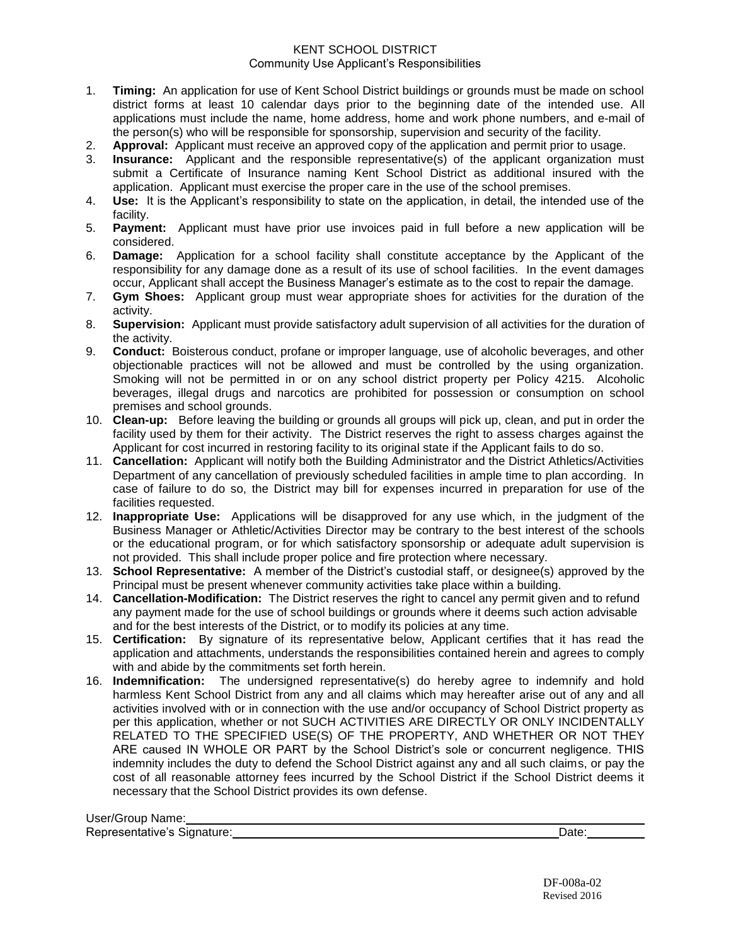## KENT SCHOOL DISTRICT Community Use Applicant's Responsibilities

- 1. **Timing:** An application for use of Kent School District buildings or grounds must be made on school district forms at least 10 calendar days prior to the beginning date of the intended use. All applications must include the name, home address, home and work phone numbers, and e-mail of the person(s) who will be responsible for sponsorship, supervision and security of the facility.
- 2. **Approval:** Applicant must receive an approved copy of the application and permit prior to usage.
- 3. **Insurance:** Applicant and the responsible representative(s) of the applicant organization must submit a Certificate of Insurance naming Kent School District as additional insured with the application. Applicant must exercise the proper care in the use of the school premises.
- 4. **Use:** It is the Applicant's responsibility to state on the application, in detail, the intended use of the facility.
- 5. **Payment:** Applicant must have prior use invoices paid in full before a new application will be considered.
- 6. **Damage:** Application for a school facility shall constitute acceptance by the Applicant of the responsibility for any damage done as a result of its use of school facilities. In the event damages occur, Applicant shall accept the Business Manager's estimate as to the cost to repair the damage.
- 7. **Gym Shoes:** Applicant group must wear appropriate shoes for activities for the duration of the activity.
- 8. **Supervision:** Applicant must provide satisfactory adult supervision of all activities for the duration of the activity.
- 9. **Conduct:** Boisterous conduct, profane or improper language, use of alcoholic beverages, and other objectionable practices will not be allowed and must be controlled by the using organization. Smoking will not be permitted in or on any school district property per Policy 4215. Alcoholic beverages, illegal drugs and narcotics are prohibited for possession or consumption on school premises and school grounds.
- 10. **Clean-up:** Before leaving the building or grounds all groups will pick up, clean, and put in order the facility used by them for their activity. The District reserves the right to assess charges against the Applicant for cost incurred in restoring facility to its original state if the Applicant fails to do so.
- 11. **Cancellation:** Applicant will notify both the Building Administrator and the District Athletics/Activities Department of any cancellation of previously scheduled facilities in ample time to plan according. In case of failure to do so, the District may bill for expenses incurred in preparation for use of the facilities requested.
- 12. **Inappropriate Use:** Applications will be disapproved for any use which, in the judgment of the Business Manager or Athletic/Activities Director may be contrary to the best interest of the schools or the educational program, or for which satisfactory sponsorship or adequate adult supervision is not provided. This shall include proper police and fire protection where necessary.
- 13. **School Representative:** A member of the District's custodial staff, or designee(s) approved by the Principal must be present whenever community activities take place within a building.
- 14. **Cancellation-Modification:** The District reserves the right to cancel any permit given and to refund any payment made for the use of school buildings or grounds where it deems such action advisable and for the best interests of the District, or to modify its policies at any time.
- 15. **Certification:** By signature of its representative below, Applicant certifies that it has read the application and attachments, understands the responsibilities contained herein and agrees to comply with and abide by the commitments set forth herein.
- 16. **Indemnification:** The undersigned representative(s) do hereby agree to indemnify and hold harmless Kent School District from any and all claims which may hereafter arise out of any and all activities involved with or in connection with the use and/or occupancy of School District property as per this application, whether or not SUCH ACTIVITIES ARE DIRECTLY OR ONLY INCIDENTALLY RELATED TO THE SPECIFIED USE(S) OF THE PROPERTY, AND WHETHER OR NOT THEY ARE caused IN WHOLE OR PART by the School District's sole or concurrent negligence. THIS indemnity includes the duty to defend the School District against any and all such claims, or pay the cost of all reasonable attorney fees incurred by the School District if the School District deems it necessary that the School District provides its own defense.

| User/Group Name:            |      |
|-----------------------------|------|
| Representative's Signature: | Date |